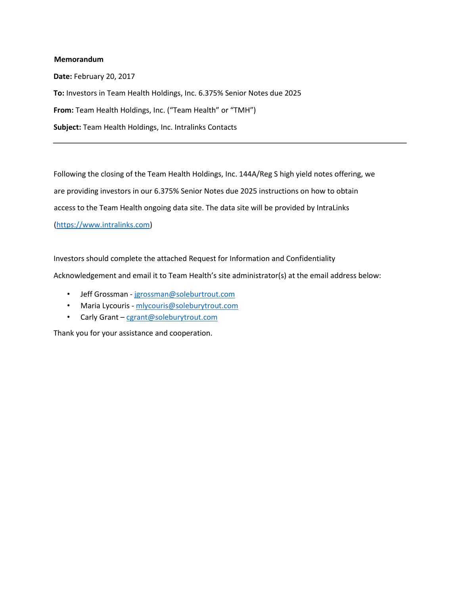## **Memorandum**

**Date:** February 20, 2017 **To:** Investors in Team Health Holdings, Inc. 6.375% Senior Notes due 2025 **From:** Team Health Holdings, Inc. ("Team Health" or "TMH") **Subject:** Team Health Holdings, Inc. Intralinks Contacts

Following the closing of the Team Health Holdings, Inc. 144A/Reg S high yield notes offering, we are providing investors in our 6.375% Senior Notes due 2025 instructions on how to obtain access to the Team Health ongoing data site. The data site will be provided by IntraLinks [\(https://www.intralinks.com\)](https://www.intralinks.com/)

Investors should complete the attached Request for Information and Confidentiality Acknowledgement and email it to Team Health's site administrator(s) at the email address below:

- Jeff Grossman jgrossman@soleburtrout.com
- Maria Lycouris mlycouris@soleburytrout.com
- Carly Grant cgrant@soleburytrout.com

Thank you for your assistance and cooperation.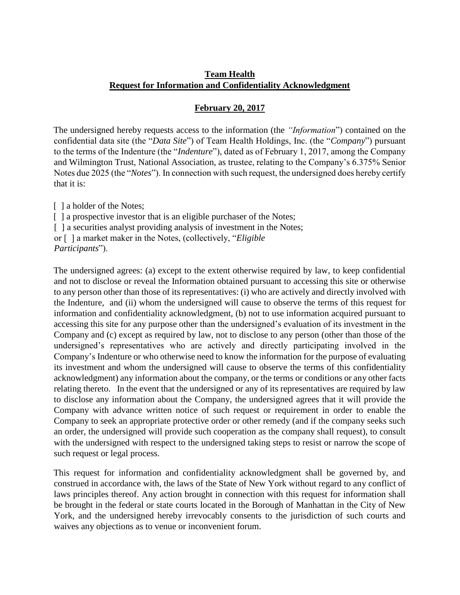## **Team Health Request for Information and Confidentiality Acknowledgment**

## **February 20, 2017**

The undersigned hereby requests access to the information (the *"Information*") contained on the confidential data site (the "*Data Site*") of Team Health Holdings, Inc. (the "*Company*") pursuant to the terms of the Indenture (the "*Indenture*"), dated as of February 1, 2017, among the Company and Wilmington Trust, National Association, as trustee, relating to the Company's 6.375% Senior Notes due 2025 (the "*Notes*"). In connection with such request, the undersigned does hereby certify that it is:

[ ] a holder of the Notes;

[] a prospective investor that is an eligible purchaser of the Notes;

[ ] a securities analyst providing analysis of investment in the Notes;

or [ ] a market maker in the Notes, (collectively, "*Eligible* 

The undersigned agrees: (a) except to the extent otherwise required by law, to keep confidential and not to disclose or reveal the Information obtained pursuant to accessing this site or otherwise to any person other than those of its representatives: (i) who are actively and directly involved with the Indenture, and (ii) whom the undersigned will cause to observe the terms of this request for information and confidentiality acknowledgment, (b) not to use information acquired pursuant to accessing this site for any purpose other than the undersigned's evaluation of its investment in the Company and (c) except as required by law, not to disclose to any person (other than those of the undersigned's representatives who are actively and directly participating involved in the Company's Indenture or who otherwise need to know the information for the purpose of evaluating its investment and whom the undersigned will cause to observe the terms of this confidentiality acknowledgment) any information about the company, or the terms or conditions or any other facts relating thereto. In the event that the undersigned or any of its representatives are required by law to disclose any information about the Company, the undersigned agrees that it will provide the Company with advance written notice of such request or requirement in order to enable the Company to seek an appropriate protective order or other remedy (and if the company seeks such an order, the undersigned will provide such cooperation as the company shall request), to consult with the undersigned with respect to the undersigned taking steps to resist or narrow the scope of such request or legal process.

This request for information and confidentiality acknowledgment shall be governed by, and construed in accordance with, the laws of the State of New York without regard to any conflict of laws principles thereof. Any action brought in connection with this request for information shall be brought in the federal or state courts located in the Borough of Manhattan in the City of New York, and the undersigned hereby irrevocably consents to the jurisdiction of such courts and waives any objections as to venue or inconvenient forum.

*Participants*").